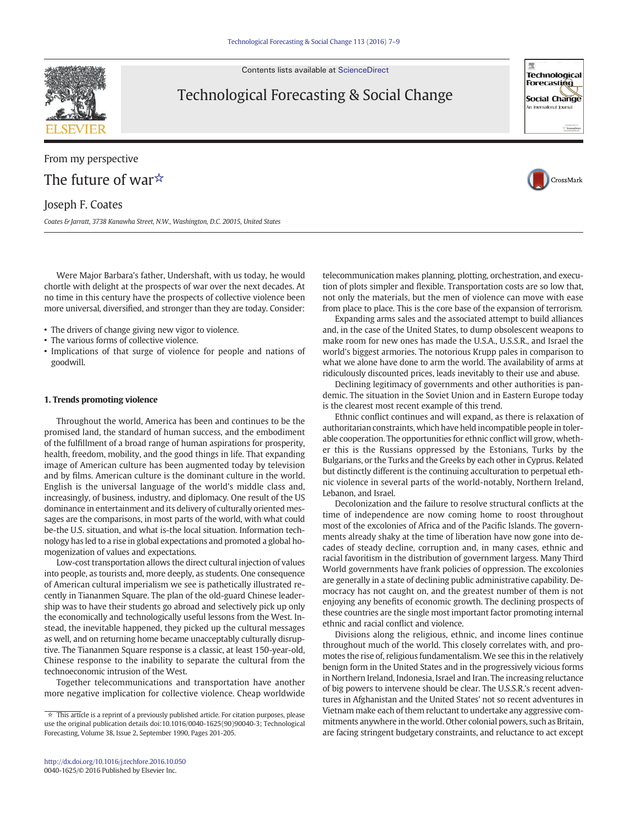Contents lists available at [ScienceDirect](http://www.sciencedirect.com/science/journal/00401625)



Technological Forecasting & Social Change





# From my perspective The future of war☆

Joseph F. Coates

Coates & Jarratt, 3738 Kanawha Street, N.W., Washington, D.C. 20015, United States

Were Major Barbara's father, Undershaft, with us today, he would chortle with delight at the prospects of war over the next decades. At no time in this century have the prospects of collective violence been more universal, diversified, and stronger than they are today. Consider:

- The drivers of change giving new vigor to violence.
- The various forms of collective violence.
- Implications of that surge of violence for people and nations of goodwill.

#### 1. Trends promoting violence

Throughout the world, America has been and continues to be the promised land, the standard of human success, and the embodiment of the fulfillment of a broad range of human aspirations for prosperity, health, freedom, mobility, and the good things in life. That expanding image of American culture has been augmented today by television and by films. American culture is the dominant culture in the world. English is the universal language of the world's middle class and, increasingly, of business, industry, and diplomacy. One result of the US dominance in entertainment and its delivery of culturally oriented messages are the comparisons, in most parts of the world, with what could be-the U.S. situation, and what is-the local situation. Information technology has led to a rise in global expectations and promoted a global homogenization of values and expectations.

Low-cost transportation allows the direct cultural injection of values into people, as tourists and, more deeply, as students. One consequence of American cultural imperialism we see is pathetically illustrated recently in Tiananmen Square. The plan of the old-guard Chinese leadership was to have their students go abroad and selectively pick up only the economically and technologically useful lessons from the West. Instead, the inevitable happened, they picked up the cultural messages as well, and on returning home became unacceptably culturally disruptive. The Tiananmen Square response is a classic, at least 150-year-old, Chinese response to the inability to separate the cultural from the technoeconomic intrusion of the West.

Together telecommunications and transportation have another more negative implication for collective violence. Cheap worldwide telecommunication makes planning, plotting, orchestration, and execution of plots simpler and flexible. Transportation costs are so low that, not only the materials, but the men of violence can move with ease from place to place. This is the core base of the expansion of terrorism.

Expanding arms sales and the associated attempt to build alliances and, in the case of the United States, to dump obsolescent weapons to make room for new ones has made the U.S.A., U.S.S.R., and Israel the world's biggest armories. The notorious Krupp pales in comparison to what we alone have done to arm the world. The availability of arms at ridiculously discounted prices, leads inevitably to their use and abuse.

Declining legitimacy of governments and other authorities is pandemic. The situation in the Soviet Union and in Eastern Europe today is the clearest most recent example of this trend.

Ethnic conflict continues and will expand, as there is relaxation of authoritarian constraints, which have held incompatible people in tolerable cooperation. The opportunities for ethnic conflict will grow, whether this is the Russians oppressed by the Estonians, Turks by the Bulgarians, or the Turks and the Greeks by each other in Cyprus. Related but distinctly different is the continuing acculturation to perpetual ethnic violence in several parts of the world-notably, Northern Ireland, Lebanon, and Israel.

Decolonization and the failure to resolve structural conflicts at the time of independence are now coming home to roost throughout most of the excolonies of Africa and of the Pacific Islands. The governments already shaky at the time of liberation have now gone into decades of steady decline, corruption and, in many cases, ethnic and racial favoritism in the distribution of government largess. Many Third World governments have frank policies of oppression. The excolonies are generally in a state of declining public administrative capability. Democracy has not caught on, and the greatest number of them is not enjoying any benefits of economic growth. The declining prospects of these countries are the single most important factor promoting internal ethnic and racial conflict and violence.

Divisions along the religious, ethnic, and income lines continue throughout much of the world. This closely correlates with, and promotes the rise of, religious fundamentalism. We see this in the relatively benign form in the United States and in the progressively vicious forms in Northern Ireland, Indonesia, Israel and Iran. The increasing reluctance of big powers to intervene should be clear. The U.S.S.R.'s recent adventures in Afghanistan and the United States' not so recent adventures in Vietnam make each of them reluctant to undertake any aggressive commitments anywhere in the world. Other colonial powers, such as Britain, are facing stringent budgetary constraints, and reluctance to act except

This article is a reprint of a previously published article. For citation purposes, please use the original publication details doi:10.1016/0040-1625(90)90040-3; Technological Forecasting, Volume 38, Issue 2, September 1990, Pages 201-205.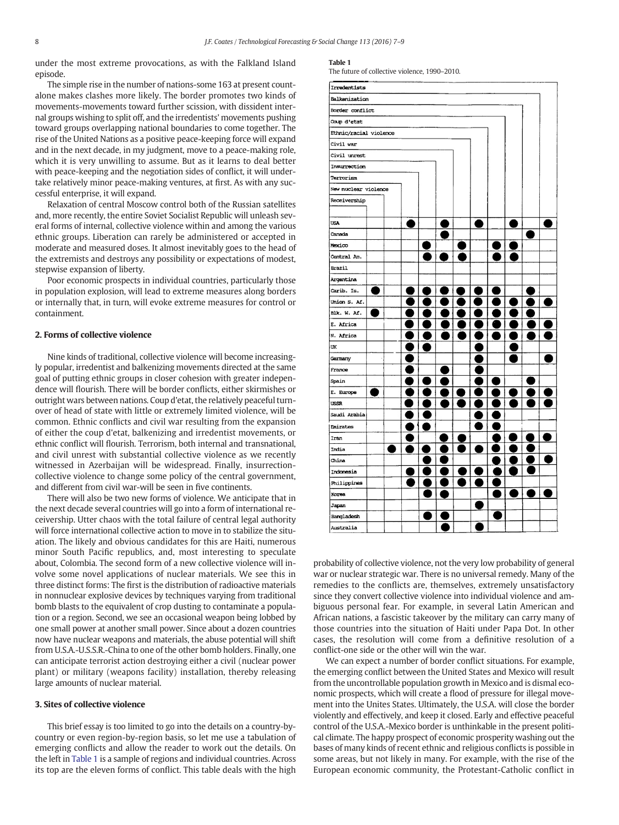under the most extreme provocations, as with the Falkland Island episode.

The simple rise in the number of nations-some 163 at present countalone makes clashes more likely. The border promotes two kinds of movements-movements toward further scission, with dissident internal groups wishing to split off, and the irredentists' movements pushing toward groups overlapping national boundaries to come together. The rise of the United Nations as a positive peace-keeping force will expand and in the next decade, in my judgment, move to a peace-making role, which it is very unwilling to assume. But as it learns to deal better with peace-keeping and the negotiation sides of conflict, it will undertake relatively minor peace-making ventures, at first. As with any successful enterprise, it will expand.

Relaxation of central Moscow control both of the Russian satellites and, more recently, the entire Soviet Socialist Republic will unleash several forms of internal, collective violence within and among the various ethnic groups. Liberation can rarely be administered or accepted in moderate and measured doses. It almost inevitably goes to the head of the extremists and destroys any possibility or expectations of modest, stepwise expansion of liberty.

Poor economic prospects in individual countries, particularly those in population explosion, will lead to extreme measures along borders or internally that, in turn, will evoke extreme measures for control or containment.

## 2. Forms of collective violence

Nine kinds of traditional, collective violence will become increasingly popular, irredentist and balkenizing movements directed at the same goal of putting ethnic groups in closer cohesion with greater independence will flourish. There will be border conflicts, either skirmishes or outright wars between nations. Coup d'etat, the relatively peaceful turnover of head of state with little or extremely limited violence, will be common. Ethnic conflicts and civil war resulting from the expansion of either the coup d'etat, balkenizing and irredentist movements, or ethnic conflict will flourish. Terrorism, both internal and transnational, and civil unrest with substantial collective violence as we recently witnessed in Azerbaijan will be widespread. Finally, insurrectioncollective violence to change some policy of the central government, and different from civil war-will be seen in five continents.

There will also be two new forms of violence. We anticipate that in the next decade several countries will go into a form of international receivership. Utter chaos with the total failure of central legal authority will force international collective action to move in to stabilize the situation. The likely and obvious candidates for this are Haiti, numerous minor South Pacific republics, and, most interesting to speculate about, Colombia. The second form of a new collective violence will involve some novel applications of nuclear materials. We see this in three distinct forms: The first is the distribution of radioactive materials in nonnuclear explosive devices by techniques varying from traditional bomb blasts to the equivalent of crop dusting to contaminate a population or a region. Second, we see an occasional weapon being lobbed by one small power at another small power. Since about a dozen countries now have nuclear weapons and materials, the abuse potential will shift from U.S.A.-U.S.S.R.-China to one of the other bomb holders. Finally, one can anticipate terrorist action destroying either a civil (nuclear power plant) or military (weapons facility) installation, thereby releasing large amounts of nuclear material.

## 3. Sites of collective violence

This brief essay is too limited to go into the details on a country-bycountry or even region-by-region basis, so let me use a tabulation of emerging conflicts and allow the reader to work out the details. On the left in Table 1 is a sample of regions and individual countries. Across its top are the eleven forms of conflict. This table deals with the high

#### Table 1

The future of collective violence, 1990–2010.

| Irredentists           |  |  |  |  |  |  |  |  |  |   |  |
|------------------------|--|--|--|--|--|--|--|--|--|---|--|
| Balkenization          |  |  |  |  |  |  |  |  |  |   |  |
| Border conflict        |  |  |  |  |  |  |  |  |  |   |  |
| Coup d'etat            |  |  |  |  |  |  |  |  |  |   |  |
| Ethnic/racial violence |  |  |  |  |  |  |  |  |  |   |  |
| Civil war              |  |  |  |  |  |  |  |  |  |   |  |
| Civil unrest           |  |  |  |  |  |  |  |  |  |   |  |
| Insurrection           |  |  |  |  |  |  |  |  |  |   |  |
| Terrorism              |  |  |  |  |  |  |  |  |  |   |  |
| New nuclear violence   |  |  |  |  |  |  |  |  |  |   |  |
| Receivership           |  |  |  |  |  |  |  |  |  |   |  |
|                        |  |  |  |  |  |  |  |  |  |   |  |
| <b>USA</b>             |  |  |  |  |  |  |  |  |  |   |  |
| Canada                 |  |  |  |  |  |  |  |  |  | ٠ |  |
| Mexico                 |  |  |  |  |  |  |  |  |  |   |  |
| Central Am.            |  |  |  |  |  |  |  |  |  |   |  |
| Brazil                 |  |  |  |  |  |  |  |  |  |   |  |
| Argentina              |  |  |  |  |  |  |  |  |  |   |  |
| Carib. Is.             |  |  |  |  |  |  |  |  |  |   |  |
| Union S. Af.           |  |  |  |  |  |  |  |  |  |   |  |
| Blk. W. Af.            |  |  |  |  |  |  |  |  |  |   |  |
| E. Africa              |  |  |  |  |  |  |  |  |  |   |  |
| N. Africa              |  |  |  |  |  |  |  |  |  |   |  |
| UK                     |  |  |  |  |  |  |  |  |  |   |  |
| Germany                |  |  |  |  |  |  |  |  |  |   |  |
| France                 |  |  |  |  |  |  |  |  |  |   |  |
| Spain                  |  |  |  |  |  |  |  |  |  |   |  |
| E. Europe              |  |  |  |  |  |  |  |  |  |   |  |
| <b>USSR</b>            |  |  |  |  |  |  |  |  |  |   |  |
| Saudi Arabia           |  |  |  |  |  |  |  |  |  |   |  |
| Emirates               |  |  |  |  |  |  |  |  |  |   |  |
| Iran                   |  |  |  |  |  |  |  |  |  |   |  |
| India                  |  |  |  |  |  |  |  |  |  |   |  |
| China                  |  |  |  |  |  |  |  |  |  |   |  |
| Indonesia              |  |  |  |  |  |  |  |  |  |   |  |
| Philippines            |  |  |  |  |  |  |  |  |  |   |  |
| Korea                  |  |  |  |  |  |  |  |  |  |   |  |
| Japan                  |  |  |  |  |  |  |  |  |  |   |  |
| Bangladesh             |  |  |  |  |  |  |  |  |  |   |  |
| Australia              |  |  |  |  |  |  |  |  |  |   |  |
|                        |  |  |  |  |  |  |  |  |  |   |  |

probability of collective violence, not the very low probability of general war or nuclear strategic war. There is no universal remedy. Many of the remedies to the conflicts are, themselves, extremely unsatisfactory since they convert collective violence into individual violence and ambiguous personal fear. For example, in several Latin American and African nations, a fascistic takeover by the military can carry many of those countries into the situation of Haiti under Papa Dot. In other cases, the resolution will come from a definitive resolution of a conflict-one side or the other will win the war.

We can expect a number of border conflict situations. For example, the emerging conflict between the United States and Mexico will result from the uncontrollable population growth in Mexico and is dismal economic prospects, which will create a flood of pressure for illegal movement into the Unites States. Ultimately, the U.S.A. will close the border violently and effectively, and keep it closed. Early and effective peaceful control of the U.S.A.-Mexico border is unthinkable in the present political climate. The happy prospect of economic prosperity washing out the bases of many kinds of recent ethnic and religious conflicts is possible in some areas, but not likely in many. For example, with the rise of the European economic community, the Protestant-Catholic conflict in